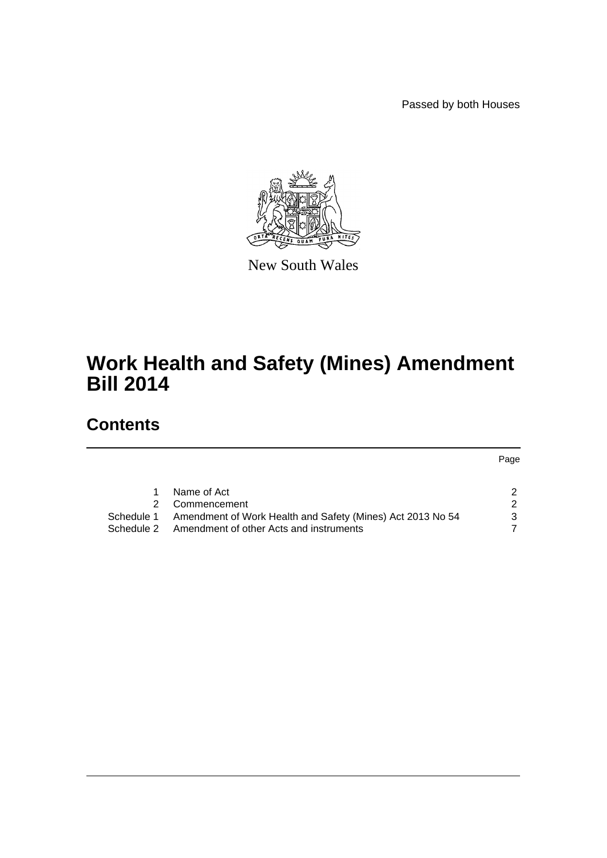Passed by both Houses



New South Wales

# **Work Health and Safety (Mines) Amendment Bill 2014**

# **Contents**

Page

|            | Name of Act                                                |               |
|------------|------------------------------------------------------------|---------------|
|            | 2 Commencement                                             |               |
| Schedule 1 | Amendment of Work Health and Safety (Mines) Act 2013 No 54 | $\mathcal{B}$ |
| Schedule 2 | Amendment of other Acts and instruments                    |               |
|            |                                                            |               |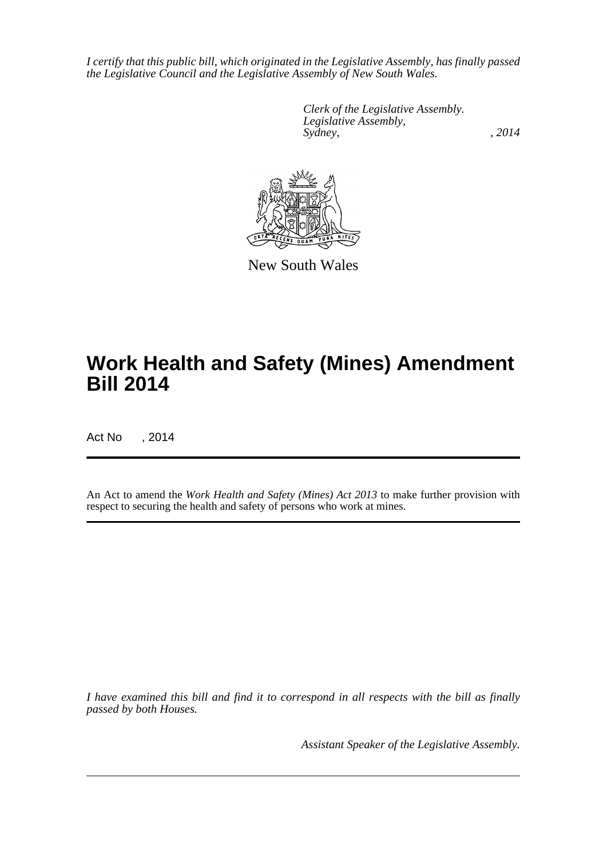*I certify that this public bill, which originated in the Legislative Assembly, has finally passed the Legislative Council and the Legislative Assembly of New South Wales.*

> *Clerk of the Legislative Assembly. Legislative Assembly, Sydney,* , 2014



New South Wales

# **Work Health and Safety (Mines) Amendment Bill 2014**

Act No , 2014

An Act to amend the *Work Health and Safety (Mines) Act 2013* to make further provision with respect to securing the health and safety of persons who work at mines.

*I have examined this bill and find it to correspond in all respects with the bill as finally passed by both Houses.*

*Assistant Speaker of the Legislative Assembly.*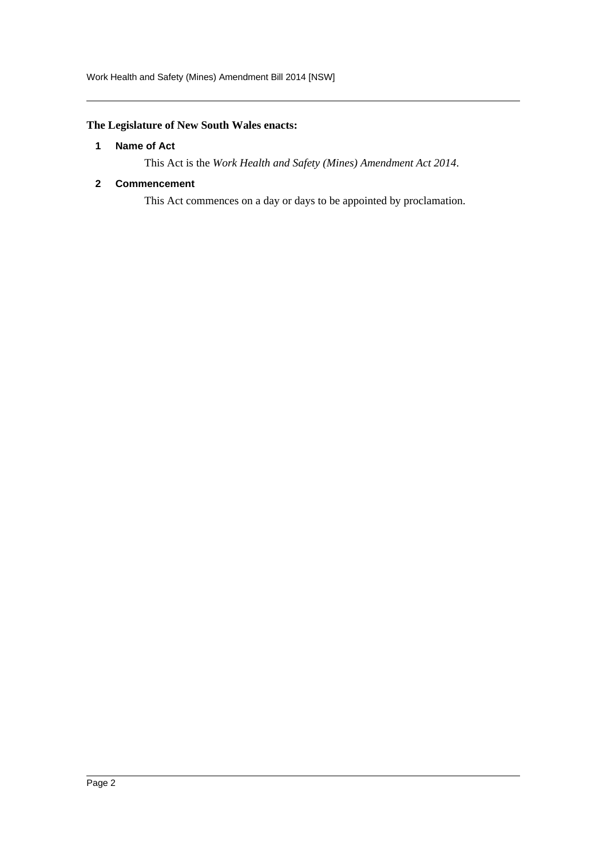Work Health and Safety (Mines) Amendment Bill 2014 [NSW]

### <span id="page-2-0"></span>**The Legislature of New South Wales enacts:**

### **1 Name of Act**

This Act is the *Work Health and Safety (Mines) Amendment Act 2014*.

### <span id="page-2-1"></span>**2 Commencement**

This Act commences on a day or days to be appointed by proclamation.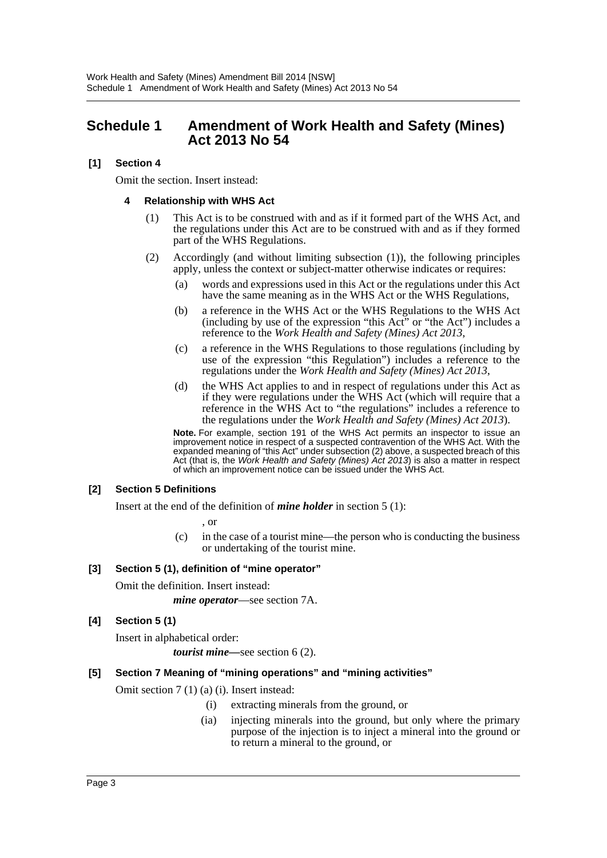# <span id="page-3-0"></span>**Schedule 1 Amendment of Work Health and Safety (Mines) Act 2013 No 54**

### **[1] Section 4**

Omit the section. Insert instead:

### **4 Relationship with WHS Act**

- (1) This Act is to be construed with and as if it formed part of the WHS Act, and the regulations under this Act are to be construed with and as if they formed part of the WHS Regulations.
- (2) Accordingly (and without limiting subsection (1)), the following principles apply, unless the context or subject-matter otherwise indicates or requires:
	- (a) words and expressions used in this Act or the regulations under this Act have the same meaning as in the WHS Act or the WHS Regulations,
	- (b) a reference in the WHS Act or the WHS Regulations to the WHS Act (including by use of the expression "this Act" or "the Act") includes a reference to the *Work Health and Safety (Mines) Act 2013*,
	- (c) a reference in the WHS Regulations to those regulations (including by use of the expression "this Regulation") includes a reference to the regulations under the *Work Health and Safety (Mines) Act 2013*,
	- (d) the WHS Act applies to and in respect of regulations under this Act as if they were regulations under the WHS Act (which will require that a reference in the WHS Act to "the regulations" includes a reference to the regulations under the *Work Health and Safety (Mines) Act 2013*).

**Note.** For example, section 191 of the WHS Act permits an inspector to issue an improvement notice in respect of a suspected contravention of the WHS Act. With the expanded meaning of "this Act" under subsection (2) above, a suspected breach of this Act (that is, the *Work Health and Safety (Mines) Act 2013*) is also a matter in respect of which an improvement notice can be issued under the WHS Act.

### **[2] Section 5 Definitions**

Insert at the end of the definition of *mine holder* in section 5 (1):

, or

(c) in the case of a tourist mine—the person who is conducting the business or undertaking of the tourist mine.

### **[3] Section 5 (1), definition of "mine operator"**

Omit the definition. Insert instead:

*mine operator*—see section 7A.

## **[4] Section 5 (1)**

Insert in alphabetical order:

*tourist mine—*see section 6 (2).

### **[5] Section 7 Meaning of "mining operations" and "mining activities"**

Omit section 7 (1) (a) (i). Insert instead:

- (i) extracting minerals from the ground, or
- (ia) injecting minerals into the ground, but only where the primary purpose of the injection is to inject a mineral into the ground or to return a mineral to the ground, or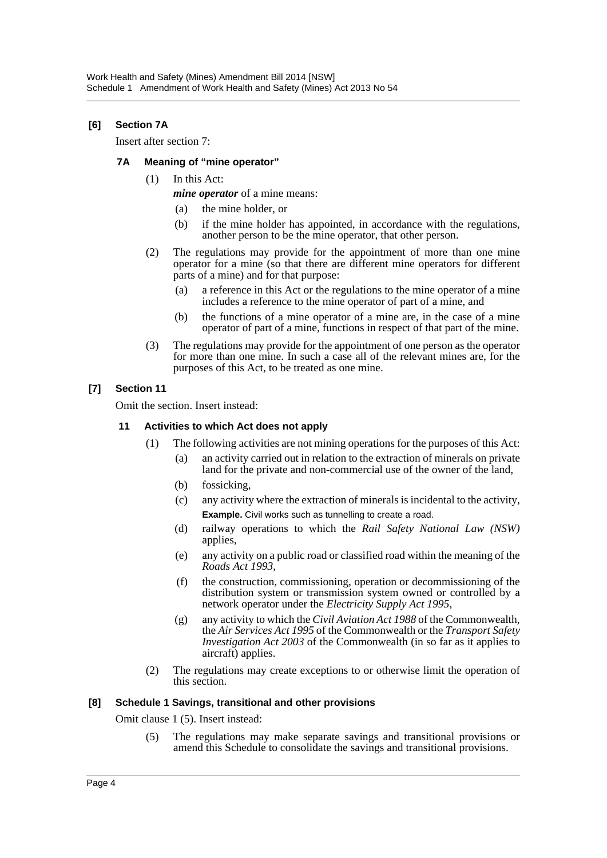### **[6] Section 7A**

Insert after section 7:

### **7A Meaning of "mine operator"**

- (1) In this Act:
	- *mine operator* of a mine means:
		- (a) the mine holder, or
		- (b) if the mine holder has appointed, in accordance with the regulations, another person to be the mine operator, that other person.
- (2) The regulations may provide for the appointment of more than one mine operator for a mine (so that there are different mine operators for different parts of a mine) and for that purpose:
	- (a) a reference in this Act or the regulations to the mine operator of a mine includes a reference to the mine operator of part of a mine, and
	- (b) the functions of a mine operator of a mine are, in the case of a mine operator of part of a mine, functions in respect of that part of the mine.
- (3) The regulations may provide for the appointment of one person as the operator for more than one mine. In such a case all of the relevant mines are, for the purposes of this Act, to be treated as one mine.

### **[7] Section 11**

Omit the section. Insert instead:

### **11 Activities to which Act does not apply**

- (1) The following activities are not mining operations for the purposes of this Act:
	- (a) an activity carried out in relation to the extraction of minerals on private land for the private and non-commercial use of the owner of the land,
	- (b) fossicking,
	- (c) any activity where the extraction of minerals is incidental to the activity, **Example.** Civil works such as tunnelling to create a road.
	- (d) railway operations to which the *Rail Safety National Law (NSW)* applies,
	- (e) any activity on a public road or classified road within the meaning of the *Roads Act 1993*,
	- (f) the construction, commissioning, operation or decommissioning of the distribution system or transmission system owned or controlled by a network operator under the *Electricity Supply Act 1995*,
	- (g) any activity to which the *Civil Aviation Act 1988* of the Commonwealth, the *Air Services Act 1995* of the Commonwealth or the *Transport Safety Investigation Act 2003* of the Commonwealth (in so far as it applies to aircraft) applies.
- (2) The regulations may create exceptions to or otherwise limit the operation of this section.

### **[8] Schedule 1 Savings, transitional and other provisions**

Omit clause 1 (5). Insert instead:

(5) The regulations may make separate savings and transitional provisions or amend this Schedule to consolidate the savings and transitional provisions.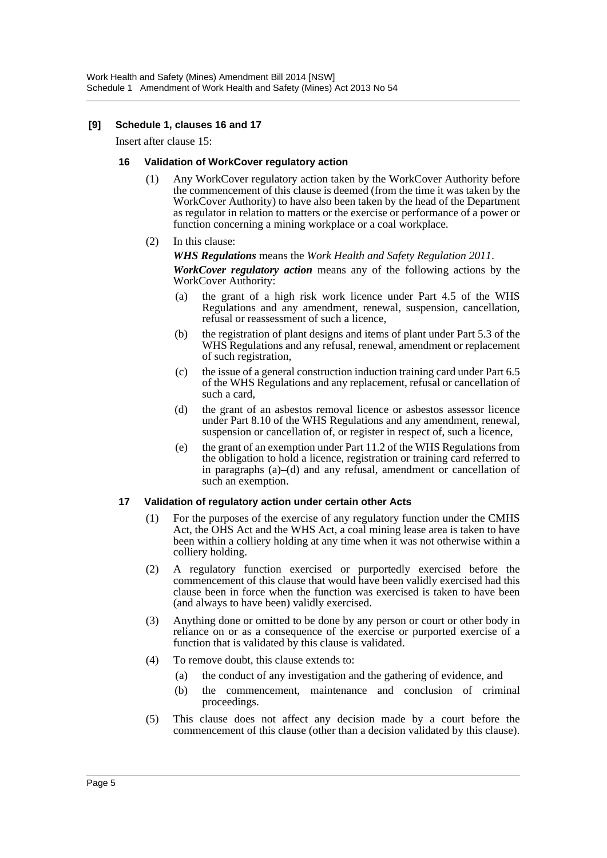### **[9] Schedule 1, clauses 16 and 17**

Insert after clause 15:

### **16 Validation of WorkCover regulatory action**

- (1) Any WorkCover regulatory action taken by the WorkCover Authority before the commencement of this clause is deemed (from the time it was taken by the WorkCover Authority) to have also been taken by the head of the Department as regulator in relation to matters or the exercise or performance of a power or function concerning a mining workplace or a coal workplace.
- (2) In this clause:

#### *WHS Regulations* means the *Work Health and Safety Regulation 2011*.

*WorkCover regulatory action* means any of the following actions by the WorkCover Authority:

- (a) the grant of a high risk work licence under Part 4.5 of the WHS Regulations and any amendment, renewal, suspension, cancellation, refusal or reassessment of such a licence,
- (b) the registration of plant designs and items of plant under Part 5.3 of the WHS Regulations and any refusal, renewal, amendment or replacement of such registration,
- (c) the issue of a general construction induction training card under Part 6.5 of the WHS Regulations and any replacement, refusal or cancellation of such a card,
- (d) the grant of an asbestos removal licence or asbestos assessor licence under Part 8.10 of the WHS Regulations and any amendment, renewal, suspension or cancellation of, or register in respect of, such a licence,
- (e) the grant of an exemption under Part 11.2 of the WHS Regulations from the obligation to hold a licence, registration or training card referred to in paragraphs (a)–(d) and any refusal, amendment or cancellation of such an exemption.

### **17 Validation of regulatory action under certain other Acts**

- (1) For the purposes of the exercise of any regulatory function under the CMHS Act, the OHS Act and the WHS Act, a coal mining lease area is taken to have been within a colliery holding at any time when it was not otherwise within a colliery holding.
- (2) A regulatory function exercised or purportedly exercised before the commencement of this clause that would have been validly exercised had this clause been in force when the function was exercised is taken to have been (and always to have been) validly exercised.
- (3) Anything done or omitted to be done by any person or court or other body in reliance on or as a consequence of the exercise or purported exercise of a function that is validated by this clause is validated.
- (4) To remove doubt, this clause extends to:
	- (a) the conduct of any investigation and the gathering of evidence, and
	- (b) the commencement, maintenance and conclusion of criminal proceedings.
- (5) This clause does not affect any decision made by a court before the commencement of this clause (other than a decision validated by this clause).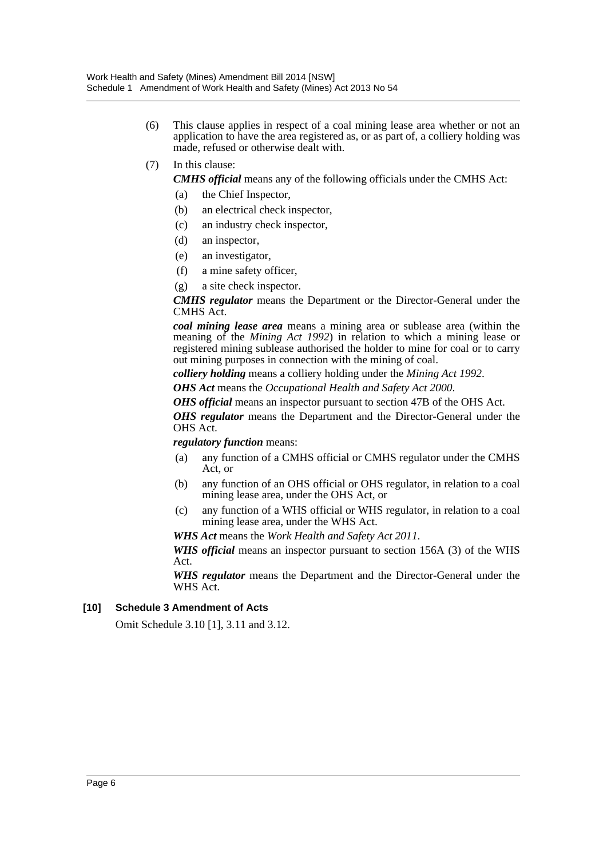- (6) This clause applies in respect of a coal mining lease area whether or not an application to have the area registered as, or as part of, a colliery holding was made, refused or otherwise dealt with.
- (7) In this clause:

*CMHS official* means any of the following officials under the CMHS Act:

- (a) the Chief Inspector,
- (b) an electrical check inspector,
- (c) an industry check inspector,
- (d) an inspector,
- (e) an investigator,
- (f) a mine safety officer,
- (g) a site check inspector.

*CMHS regulator* means the Department or the Director-General under the CMHS Act.

*coal mining lease area* means a mining area or sublease area (within the meaning of the *Mining Act 1992*) in relation to which a mining lease or registered mining sublease authorised the holder to mine for coal or to carry out mining purposes in connection with the mining of coal.

*colliery holding* means a colliery holding under the *Mining Act 1992*.

*OHS Act* means the *Occupational Health and Safety Act 2000*.

*OHS official* means an inspector pursuant to section 47B of the OHS Act.

*OHS regulator* means the Department and the Director-General under the OHS Act.

*regulatory function* means:

- (a) any function of a CMHS official or CMHS regulator under the CMHS Act, or
- (b) any function of an OHS official or OHS regulator, in relation to a coal mining lease area, under the OHS Act, or
- (c) any function of a WHS official or WHS regulator, in relation to a coal mining lease area, under the WHS Act.

*WHS Act* means the *Work Health and Safety Act 2011*.

*WHS official* means an inspector pursuant to section 156A (3) of the WHS Act.

*WHS regulator* means the Department and the Director-General under the WHS Act.

### **[10] Schedule 3 Amendment of Acts**

Omit Schedule 3.10 [1], 3.11 and 3.12.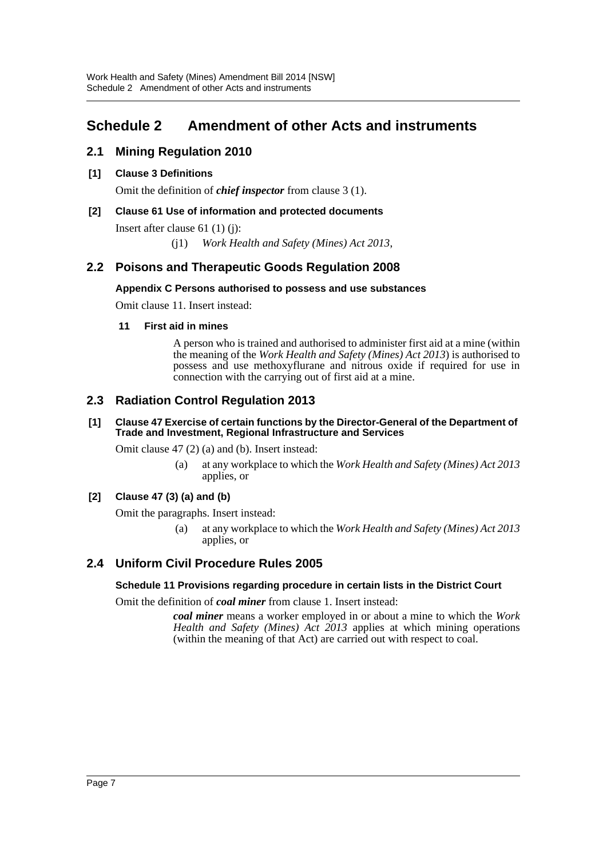# <span id="page-7-0"></span>**Schedule 2 Amendment of other Acts and instruments**

# **2.1 Mining Regulation 2010**

## **[1] Clause 3 Definitions**

Omit the definition of *chief inspector* from clause 3 (1).

## **[2] Clause 61 Use of information and protected documents**

Insert after clause 61 (1) (j):

(j1) *Work Health and Safety (Mines) Act 2013*,

# **2.2 Poisons and Therapeutic Goods Regulation 2008**

### **Appendix C Persons authorised to possess and use substances**

Omit clause 11. Insert instead:

### **11 First aid in mines**

A person who is trained and authorised to administer first aid at a mine (within the meaning of the *Work Health and Safety (Mines) Act 2013*) is authorised to possess and use methoxyflurane and nitrous oxide if required for use in connection with the carrying out of first aid at a mine.

# **2.3 Radiation Control Regulation 2013**

### **[1] Clause 47 Exercise of certain functions by the Director-General of the Department of Trade and Investment, Regional Infrastructure and Services**

Omit clause 47 (2) (a) and (b). Insert instead:

(a) at any workplace to which the *Work Health and Safety (Mines) Act 2013* applies, or

### **[2] Clause 47 (3) (a) and (b)**

Omit the paragraphs. Insert instead:

(a) at any workplace to which the *Work Health and Safety (Mines) Act 2013* applies, or

# **2.4 Uniform Civil Procedure Rules 2005**

### **Schedule 11 Provisions regarding procedure in certain lists in the District Court**

Omit the definition of *coal miner* from clause 1. Insert instead:

*coal miner* means a worker employed in or about a mine to which the *Work Health and Safety (Mines) Act 2013* applies at which mining operations (within the meaning of that Act) are carried out with respect to coal.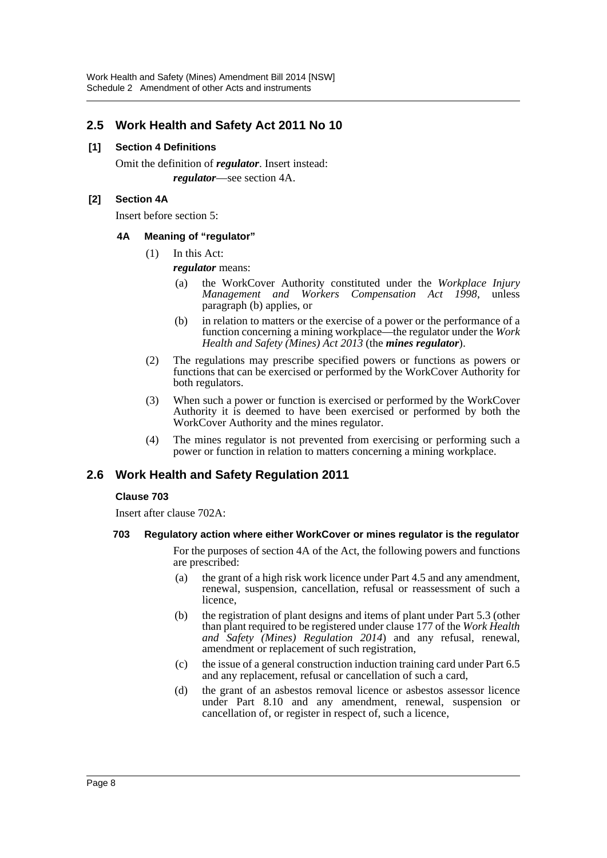# **2.5 Work Health and Safety Act 2011 No 10**

### **[1] Section 4 Definitions**

Omit the definition of *regulator*. Insert instead: *regulator*—see section 4A.

### **[2] Section 4A**

Insert before section 5:

### **4A Meaning of "regulator"**

(1) In this Act:

*regulator* means:

- (a) the WorkCover Authority constituted under the *Workplace Injury Management and Workers Compensation Act 1998*, unless paragraph (b) applies, or
- (b) in relation to matters or the exercise of a power or the performance of a function concerning a mining workplace—the regulator under the *Work Health and Safety (Mines) Act 2013* (the *mines regulator*).
- (2) The regulations may prescribe specified powers or functions as powers or functions that can be exercised or performed by the WorkCover Authority for both regulators.
- (3) When such a power or function is exercised or performed by the WorkCover Authority it is deemed to have been exercised or performed by both the WorkCover Authority and the mines regulator.
- (4) The mines regulator is not prevented from exercising or performing such a power or function in relation to matters concerning a mining workplace.

# **2.6 Work Health and Safety Regulation 2011**

### **Clause 703**

Insert after clause 702A:

### **703 Regulatory action where either WorkCover or mines regulator is the regulator**

For the purposes of section 4A of the Act, the following powers and functions are prescribed:

- (a) the grant of a high risk work licence under Part 4.5 and any amendment, renewal, suspension, cancellation, refusal or reassessment of such a licence,
- (b) the registration of plant designs and items of plant under Part 5.3 (other than plant required to be registered under clause 177 of the *Work Health and Safety (Mines) Regulation 2014*) and any refusal, renewal, amendment or replacement of such registration,
- (c) the issue of a general construction induction training card under Part 6.5 and any replacement, refusal or cancellation of such a card,
- (d) the grant of an asbestos removal licence or asbestos assessor licence under Part 8.10 and any amendment, renewal, suspension or cancellation of, or register in respect of, such a licence,